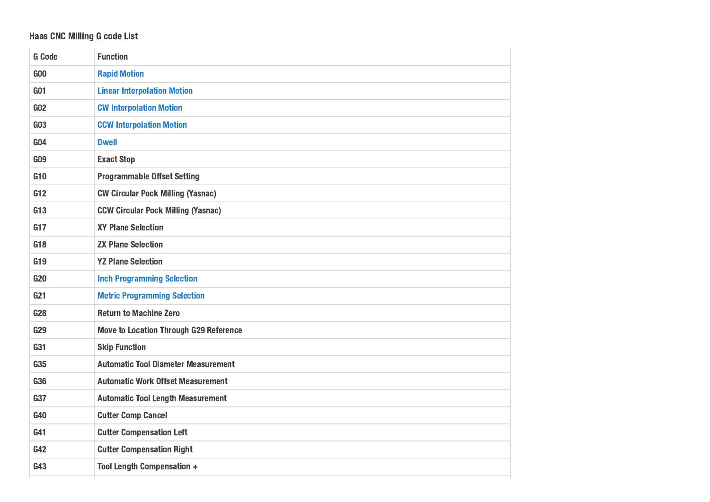## Haas CNC Milling G code List

| <b>G</b> Code   | <b>Function</b>                               |
|-----------------|-----------------------------------------------|
| G <sub>00</sub> | <b>Rapid Motion</b>                           |
| <b>G01</b>      | <b>Linear Interpolation Motion</b>            |
| G <sub>02</sub> | <b>CW Interpolation Motion</b>                |
| G <sub>03</sub> | <b>CCW Interpolation Motion</b>               |
| G <sub>04</sub> | <b>Dwell</b>                                  |
| <b>GO9</b>      | <b>Exact Stop</b>                             |
| G10             | <b>Programmable Offset Setting</b>            |
| G12             | <b>CW Circular Pock Milling (Yasnac)</b>      |
| G13             | <b>CCW Circular Pock Milling (Yasnac)</b>     |
| G17             | <b>XY Plane Selection</b>                     |
| G18             | <b>ZX Plane Selection</b>                     |
| G19             | <b>YZ Plane Selection</b>                     |
| <b>G20</b>      | <b>Inch Programming Selection</b>             |
| G <sub>21</sub> | <b>Metric Programming Selection</b>           |
| <b>G28</b>      | <b>Return to Machine Zero</b>                 |
| <b>G29</b>      | <b>Move to Location Through G29 Reference</b> |
| G31             | <b>Skip Function</b>                          |
| G35             | <b>Automatic Tool Diameter Measurement</b>    |
| <b>G36</b>      | <b>Automatic Work Offset Measurement</b>      |
| G37             | <b>Automatic Tool Length Measurement</b>      |
| G40             | <b>Cutter Comp Cancel</b>                     |
| G41             | <b>Cutter Compensation Left</b>               |
| G42             | <b>Cutter Compensation Right</b>              |
| G43             | <b>Tool Length Compensation +</b>             |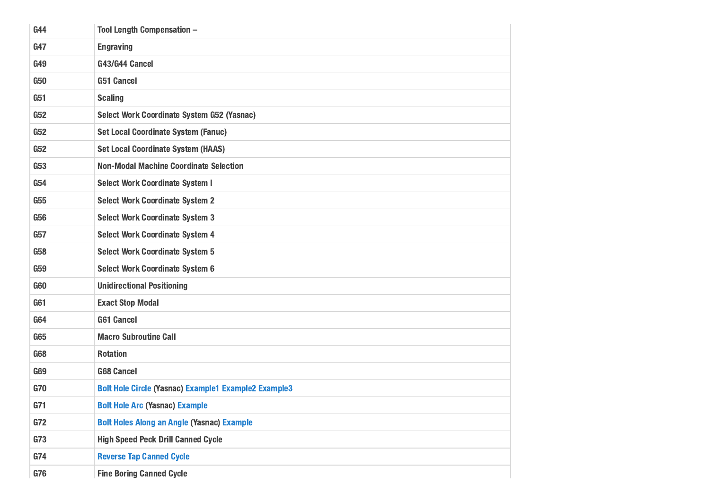| G44        | <b>Tool Length Compensation -</b>                           |
|------------|-------------------------------------------------------------|
| G47        | <b>Engraving</b>                                            |
| G49        | G43/G44 Cancel                                              |
| <b>G50</b> | <b>G51 Cancel</b>                                           |
| G51        | <b>Scaling</b>                                              |
| G52        | Select Work Coordinate System G52 (Yasnac)                  |
| G52        | <b>Set Local Coordinate System (Fanuc)</b>                  |
| G52        | <b>Set Local Coordinate System (HAAS)</b>                   |
| <b>G53</b> | <b>Non-Modal Machine Coordinate Selection</b>               |
| <b>G54</b> | <b>Select Work Coordinate System I</b>                      |
| <b>G55</b> | <b>Select Work Coordinate System 2</b>                      |
| <b>G56</b> | <b>Select Work Coordinate System 3</b>                      |
| G57        | <b>Select Work Coordinate System 4</b>                      |
| <b>G58</b> | <b>Select Work Coordinate System 5</b>                      |
| <b>G59</b> | <b>Select Work Coordinate System 6</b>                      |
| <b>G60</b> | <b>Unidirectional Positioning</b>                           |
| G61        | <b>Exact Stop Modal</b>                                     |
| <b>G64</b> | <b>G61 Cancel</b>                                           |
| <b>G65</b> | <b>Macro Subroutine Call</b>                                |
| <b>G68</b> | <b>Rotation</b>                                             |
| <b>G69</b> | <b>G68 Cancel</b>                                           |
| G70        | <b>Bolt Hole Circle (Yasnac) Example1 Example2 Example3</b> |
| G71        | <b>Bolt Hole Arc (Yasnac) Example</b>                       |
| G72        | <b>Bolt Holes Along an Angle (Yasnac) Example</b>           |
| G73        | <b>High Speed Peck Drill Canned Cycle</b>                   |
| G74        | <b>Reverse Tap Canned Cycle</b>                             |
| G76        | <b>Fine Boring Canned Cycle</b>                             |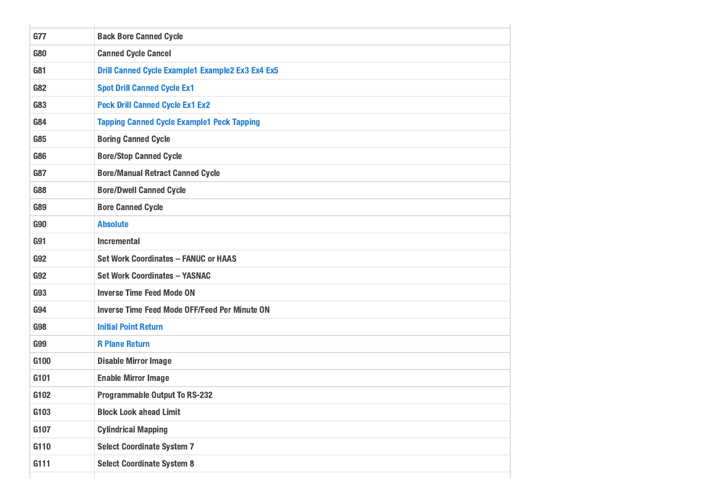| G77        | <b>Back Bore Canned Cycle</b>                           |
|------------|---------------------------------------------------------|
| <b>G80</b> | <b>Canned Cycle Cancel</b>                              |
| G81        | <b>Drill Canned Cycle Example1 Example2 Ex3 Ex4 Ex5</b> |
| <b>G82</b> | <b>Spot Drill Canned Cycle Ex1</b>                      |
| <b>G83</b> | <b>Peck Drill Canned Cycle Ex1 Ex2</b>                  |
| <b>G84</b> | <b>Tapping Canned Cycle Example1 Peck Tapping</b>       |
| <b>G85</b> | <b>Boring Canned Cycle</b>                              |
| <b>G86</b> | <b>Bore/Stop Canned Cycle</b>                           |
| <b>G87</b> | <b>Bore/Manual Retract Canned Cycle</b>                 |
| <b>G88</b> | <b>Bore/Dwell Canned Cycle</b>                          |
| <b>G89</b> | <b>Bore Canned Cycle</b>                                |
| <b>G90</b> | <b>Absolute</b>                                         |
| <b>G91</b> | <b>Incremental</b>                                      |
| <b>G92</b> | <b>Set Work Coordinates - FANUC or HAAS</b>             |
| <b>G92</b> | <b>Set Work Coordinates - YASNAC</b>                    |
| <b>G93</b> | <b>Inverse Time Feed Mode ON</b>                        |
| <b>G94</b> | <b>Inverse Time Feed Mode OFF/Feed Per Minute ON</b>    |
| <b>G98</b> | <b>Initial Point Return</b>                             |
| <b>G99</b> | <b>R Plane Return</b>                                   |
| G100       | <b>Disable Mirror Image</b>                             |
| G101       | <b>Enable Mirror Image</b>                              |
| G102       | <b>Programmable Output To RS-232</b>                    |
| G103       | <b>Block Look ahead Limit</b>                           |
| G107       | <b>Cylindrical Mapping</b>                              |
| G110       | <b>Select Coordinate System 7</b>                       |
| G111       | <b>Select Coordinate System 8</b>                       |
|            |                                                         |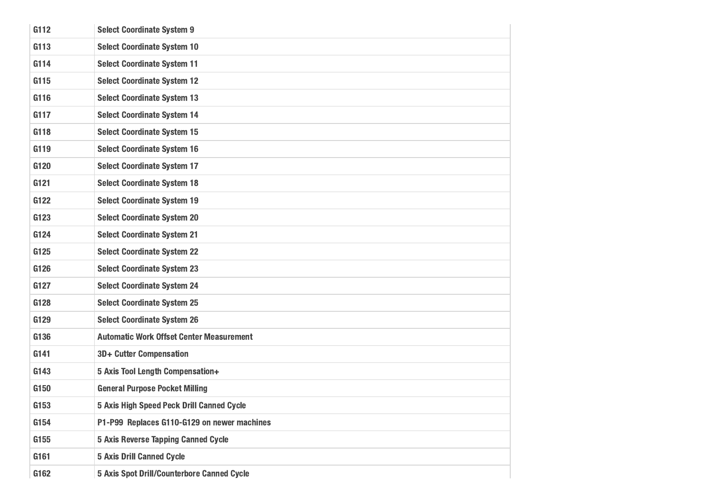| G112 | <b>Select Coordinate System 9</b>                 |
|------|---------------------------------------------------|
| G113 | <b>Select Coordinate System 10</b>                |
| G114 | <b>Select Coordinate System 11</b>                |
| G115 | <b>Select Coordinate System 12</b>                |
| G116 | <b>Select Coordinate System 13</b>                |
| G117 | <b>Select Coordinate System 14</b>                |
| G118 | <b>Select Coordinate System 15</b>                |
| G119 | <b>Select Coordinate System 16</b>                |
| G120 | <b>Select Coordinate System 17</b>                |
| G121 | <b>Select Coordinate System 18</b>                |
| G122 | <b>Select Coordinate System 19</b>                |
| G123 | <b>Select Coordinate System 20</b>                |
| G124 | <b>Select Coordinate System 21</b>                |
| G125 | <b>Select Coordinate System 22</b>                |
| G126 | <b>Select Coordinate System 23</b>                |
| G127 | <b>Select Coordinate System 24</b>                |
| G128 | <b>Select Coordinate System 25</b>                |
| G129 | <b>Select Coordinate System 26</b>                |
| G136 | <b>Automatic Work Offset Center Measurement</b>   |
| G141 | 3D+ Cutter Compensation                           |
| G143 | 5 Axis Tool Length Compensation+                  |
| G150 | <b>General Purpose Pocket Milling</b>             |
| G153 | 5 Axis High Speed Peck Drill Canned Cycle         |
| G154 | P1-P99 Replaces G110-G129 on newer machines       |
| G155 | <b>5 Axis Reverse Tapping Canned Cycle</b>        |
| G161 | <b>5 Axis Drill Canned Cycle</b>                  |
| G162 | <b>5 Axis Spot Drill/Counterbore Canned Cycle</b> |